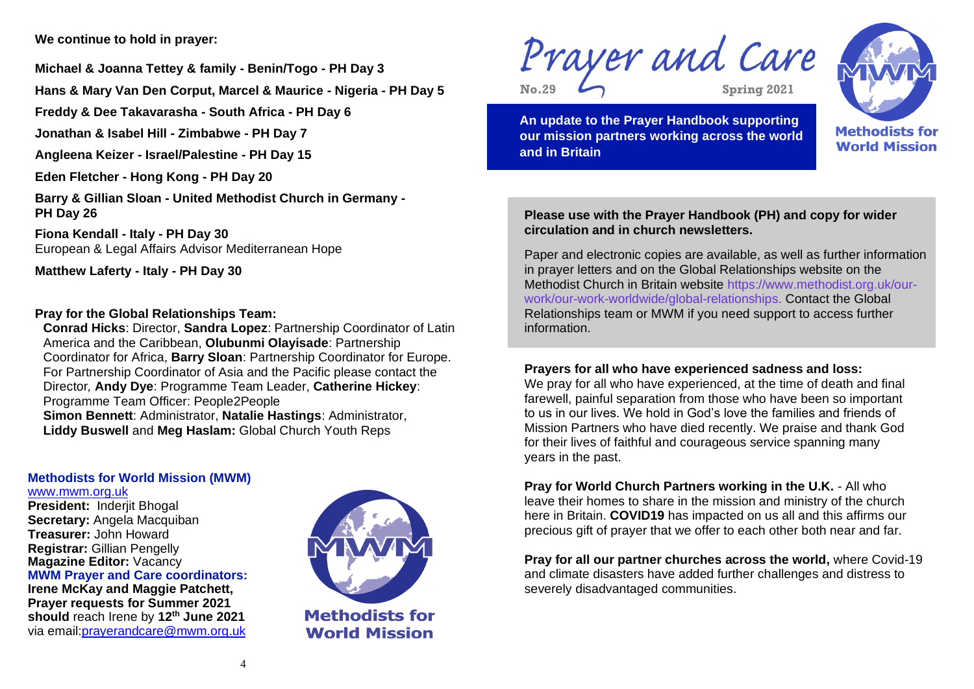**We continue to hold in prayer:**

**Michael & Joanna Tettey & family - Benin/Togo - PH Day 3**

**Hans & Mary Van Den Corput, Marcel & Maurice - Nigeria - PH Day 5** 

**Freddy & Dee Takavarasha - South Africa - PH Day 6**

**Jonathan & Isabel Hill - Zimbabwe - PH Day 7**

**Angleena Keizer - Israel/Palestine - PH Day 15**

**Eden Fletcher - Hong Kong - PH Day 20**

**Barry & Gillian Sloan - United Methodist Church in Germany - PH Day 26**

**Fiona Kendall - Italy - PH Day 30**  European & Legal Affairs Advisor Mediterranean Hope

**Matthew Laferty - Italy - PH Day 30**

## **Pray for the Global Relationships Team:**

**Conrad Hicks**: Director, **Sandra Lopez**: Partnership Coordinator of Latin America and the Caribbean, **Olubunmi Olayisade**: Partnership Coordinator for Africa, **Barry Sloan**: Partnership Coordinator for Europe. For Partnership Coordinator of Asia and the Pacific please contact the Director*,* **Andy Dye**: Programme Team Leader, **Catherine Hickey**: Programme Team Officer: People2People **Simon Bennett**: Administrator, **Natalie Hastings**: Administrator, **Liddy Buswell** and **Meg Haslam:** Global Church Youth Reps

## **Methodists for World Mission (MWM)** www.mwm.org.uk

**President: Inderijt Bhogal Secretary: Angela Macquiban Treasurer:** John Howard **Registrar:** Gillian Pengelly **Magazine Editor: Vacancy** 

**MWM Prayer and Care coordinators: Irene McKay and Maggie Patchett, Prayer requests for Summer 2021 should** reach Irene by **12th June 2021** via email:prayerandcare@mwm.org.uk



**Methodists for World Mission** 



**No.29**

**2929**

**Spring 2021**



**An update to the Prayer Handbook supporting our mission partners working across the world and in Britain**

# **Please use with the Prayer Handbook (PH) and copy for wider circulation and in church newsletters.**

Paper and electronic copies are available, as well as further information in prayer letters and on the Global Relationships website on the Methodist Church in Britain website https://www.methodist.org.uk/ourwork/our-work-worldwide/global-relationships. Contact the Global Relationships team or MWM if you need support to access further information.

# **Prayers for all who have experienced sadness and loss:**

We pray for all who have experienced, at the time of death and final farewell, painful separation from those who have been so important to us in our lives. We hold in God's love the families and friends of Mission Partners who have died recently. We praise and thank God for their lives of faithful and courageous service spanning many years in the past.

**Pray for World Church Partners working in the U.K.** - All who leave their homes to share in the mission and ministry of the church here in Britain. **COVID19** has impacted on us all and this affirms our precious gift of prayer that we offer to each other both near and far.

**Pray for all our partner churches across the world,** where Covid-19 and climate disasters have added further challenges and distress to severely disadvantaged communities.